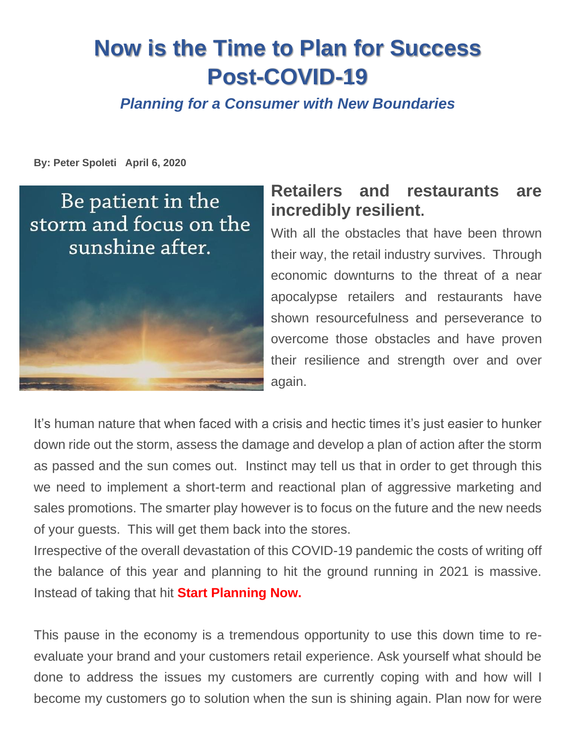# **Now is the Time to Plan for Success Post-COVID-19**

*Planning for a Consumer with New Boundaries* 

**By: Peter Spoleti April 6, 2020**

Be patient in the storm and focus on the sunshine after.



## **Retailers and restaurants are incredibly resilient.**

With all the obstacles that have been thrown their way, the retail industry survives. Through economic downturns to the threat of a near apocalypse retailers and restaurants have shown resourcefulness and perseverance to overcome those obstacles and have proven their resilience and strength over and over again.

It's human nature that when faced with a crisis and hectic times it's just easier to hunker down ride out the storm, assess the damage and develop a plan of action after the storm as passed and the sun comes out. Instinct may tell us that in order to get through this we need to implement a short-term and reactional plan of aggressive marketing and sales promotions. The smarter play however is to focus on the future and the new needs of your guests. This will get them back into the stores.

Irrespective of the overall devastation of this COVID-19 pandemic the costs of writing off the balance of this year and planning to hit the ground running in 2021 is massive. Instead of taking that hit **Start Planning Now.**

This pause in the economy is a tremendous opportunity to use this down time to reevaluate your brand and your customers retail experience. Ask yourself what should be done to address the issues my customers are currently coping with and how will I become my customers go to solution when the sun is shining again. Plan now for were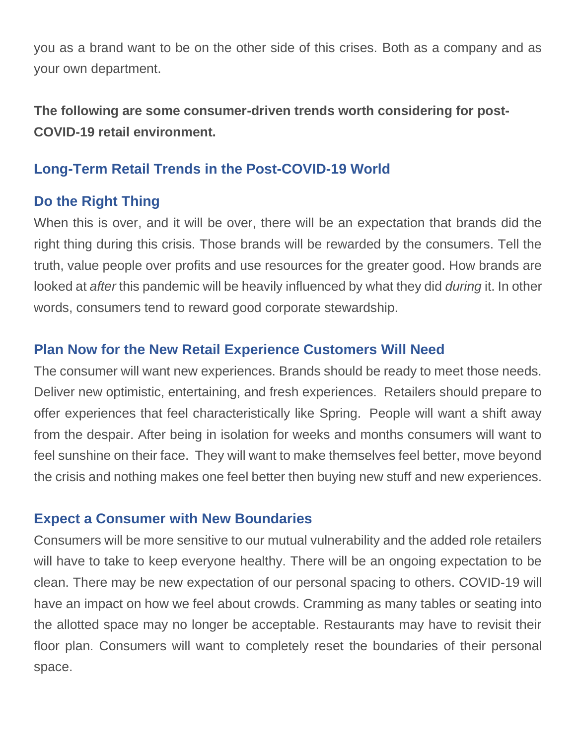you as a brand want to be on the other side of this crises. Both as a company and as your own department.

**The following are some consumer-driven trends worth considering for post-COVID-19 retail environment.** 

#### **Long-Term Retail Trends in the Post-COVID-19 World**

#### **Do the Right Thing**

When this is over, and it will be over, there will be an expectation that brands did the right thing during this crisis. Those brands will be rewarded by the consumers. Tell the truth, value people over profits and use resources for the greater good. How brands are looked at *after* this pandemic will be heavily influenced by what they did *during* it. In other words, consumers tend to reward good corporate stewardship.

#### **Plan Now for the New Retail Experience Customers Will Need**

The consumer will want new experiences. Brands should be ready to meet those needs. Deliver new optimistic, entertaining, and fresh experiences. Retailers should prepare to offer experiences that feel characteristically like Spring. People will want a shift away from the despair. After being in isolation for weeks and months consumers will want to feel sunshine on their face. They will want to make themselves feel better, move beyond the crisis and nothing makes one feel better then buying new stuff and new experiences.

#### **Expect a Consumer with New Boundaries**

Consumers will be more sensitive to our mutual vulnerability and the added role retailers will have to take to keep everyone healthy. There will be an ongoing expectation to be clean. There may be new expectation of our personal spacing to others. COVID-19 will have an impact on how we feel about crowds. Cramming as many tables or seating into the allotted space may no longer be acceptable. Restaurants may have to revisit their floor plan. Consumers will want to completely reset the boundaries of their personal space.